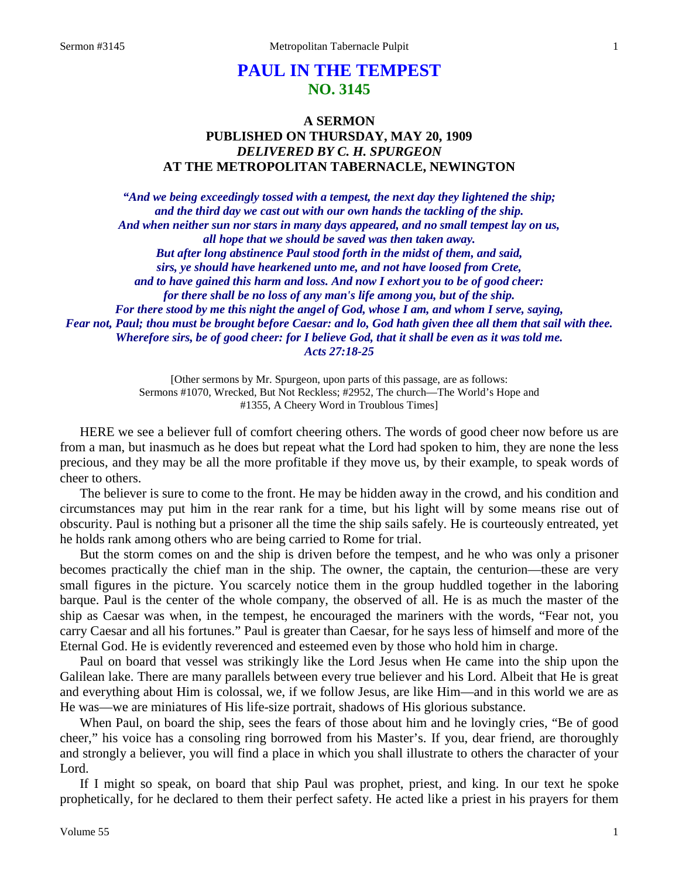# **PAUL IN THE TEMPEST NO. 3145**

# **A SERMON PUBLISHED ON THURSDAY, MAY 20, 1909** *DELIVERED BY C. H. SPURGEON* **AT THE METROPOLITAN TABERNACLE, NEWINGTON**

*"And we being exceedingly tossed with a tempest, the next day they lightened the ship; and the third day we cast out with our own hands the tackling of the ship. And when neither sun nor stars in many days appeared, and no small tempest lay on us, all hope that we should be saved was then taken away. But after long abstinence Paul stood forth in the midst of them, and said, sirs, ye should have hearkened unto me, and not have loosed from Crete, and to have gained this harm and loss. And now I exhort you to be of good cheer: for there shall be no loss of any man's life among you, but of the ship. For there stood by me this night the angel of God, whose I am, and whom I serve, saying, Fear not, Paul; thou must be brought before Caesar: and lo, God hath given thee all them that sail with thee. Wherefore sirs, be of good cheer: for I believe God, that it shall be even as it was told me. Acts 27:18-25*

> [Other sermons by Mr. Spurgeon, upon parts of this passage, are as follows: Sermons #1070, Wrecked, But Not Reckless; #2952, The church—The World's Hope and #1355, A Cheery Word in Troublous Times]

HERE we see a believer full of comfort cheering others. The words of good cheer now before us are from a man, but inasmuch as he does but repeat what the Lord had spoken to him, they are none the less precious, and they may be all the more profitable if they move us, by their example, to speak words of cheer to others.

The believer is sure to come to the front. He may be hidden away in the crowd, and his condition and circumstances may put him in the rear rank for a time, but his light will by some means rise out of obscurity. Paul is nothing but a prisoner all the time the ship sails safely. He is courteously entreated, yet he holds rank among others who are being carried to Rome for trial.

But the storm comes on and the ship is driven before the tempest, and he who was only a prisoner becomes practically the chief man in the ship. The owner, the captain, the centurion—these are very small figures in the picture. You scarcely notice them in the group huddled together in the laboring barque. Paul is the center of the whole company, the observed of all. He is as much the master of the ship as Caesar was when, in the tempest, he encouraged the mariners with the words, "Fear not, you carry Caesar and all his fortunes." Paul is greater than Caesar, for he says less of himself and more of the Eternal God. He is evidently reverenced and esteemed even by those who hold him in charge.

Paul on board that vessel was strikingly like the Lord Jesus when He came into the ship upon the Galilean lake. There are many parallels between every true believer and his Lord. Albeit that He is great and everything about Him is colossal, we, if we follow Jesus, are like Him—and in this world we are as He was—we are miniatures of His life-size portrait, shadows of His glorious substance.

When Paul, on board the ship, sees the fears of those about him and he lovingly cries, "Be of good cheer," his voice has a consoling ring borrowed from his Master's. If you, dear friend, are thoroughly and strongly a believer, you will find a place in which you shall illustrate to others the character of your Lord.

If I might so speak, on board that ship Paul was prophet, priest, and king. In our text he spoke prophetically, for he declared to them their perfect safety. He acted like a priest in his prayers for them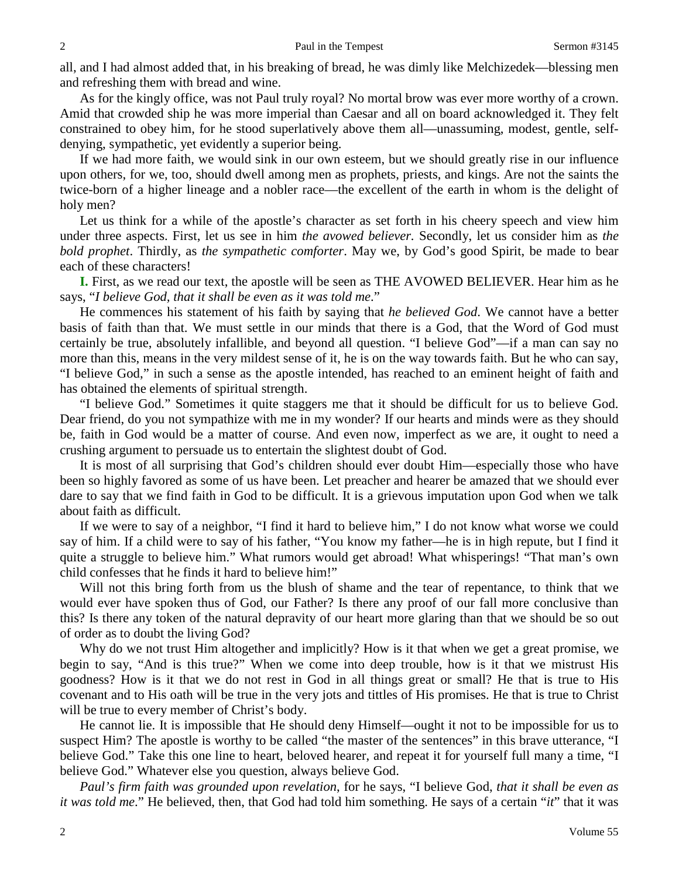all, and I had almost added that, in his breaking of bread, he was dimly like Melchizedek—blessing men and refreshing them with bread and wine.

As for the kingly office, was not Paul truly royal? No mortal brow was ever more worthy of a crown. Amid that crowded ship he was more imperial than Caesar and all on board acknowledged it. They felt constrained to obey him, for he stood superlatively above them all—unassuming, modest, gentle, selfdenying, sympathetic, yet evidently a superior being.

If we had more faith, we would sink in our own esteem, but we should greatly rise in our influence upon others, for we, too, should dwell among men as prophets, priests, and kings. Are not the saints the twice-born of a higher lineage and a nobler race—the excellent of the earth in whom is the delight of holy men?

Let us think for a while of the apostle's character as set forth in his cheery speech and view him under three aspects. First, let us see in him *the avowed believer.* Secondly, let us consider him as *the bold prophet*. Thirdly, as *the sympathetic comforter*. May we, by God's good Spirit, be made to bear each of these characters!

**I.** First, as we read our text, the apostle will be seen as THE AVOWED BELIEVER. Hear him as he says, "*I believe God, that it shall be even as it was told me*."

He commences his statement of his faith by saying that *he believed God*. We cannot have a better basis of faith than that. We must settle in our minds that there is a God, that the Word of God must certainly be true, absolutely infallible, and beyond all question. "I believe God"—if a man can say no more than this, means in the very mildest sense of it, he is on the way towards faith. But he who can say, "I believe God," in such a sense as the apostle intended, has reached to an eminent height of faith and has obtained the elements of spiritual strength.

"I believe God." Sometimes it quite staggers me that it should be difficult for us to believe God. Dear friend, do you not sympathize with me in my wonder? If our hearts and minds were as they should be, faith in God would be a matter of course. And even now, imperfect as we are, it ought to need a crushing argument to persuade us to entertain the slightest doubt of God.

It is most of all surprising that God's children should ever doubt Him—especially those who have been so highly favored as some of us have been. Let preacher and hearer be amazed that we should ever dare to say that we find faith in God to be difficult. It is a grievous imputation upon God when we talk about faith as difficult.

If we were to say of a neighbor, "I find it hard to believe him," I do not know what worse we could say of him. If a child were to say of his father, "You know my father—he is in high repute, but I find it quite a struggle to believe him." What rumors would get abroad! What whisperings! "That man's own child confesses that he finds it hard to believe him!"

Will not this bring forth from us the blush of shame and the tear of repentance, to think that we would ever have spoken thus of God, our Father? Is there any proof of our fall more conclusive than this? Is there any token of the natural depravity of our heart more glaring than that we should be so out of order as to doubt the living God?

Why do we not trust Him altogether and implicitly? How is it that when we get a great promise, we begin to say, "And is this true?" When we come into deep trouble, how is it that we mistrust His goodness? How is it that we do not rest in God in all things great or small? He that is true to His covenant and to His oath will be true in the very jots and tittles of His promises. He that is true to Christ will be true to every member of Christ's body.

He cannot lie. It is impossible that He should deny Himself—ought it not to be impossible for us to suspect Him? The apostle is worthy to be called "the master of the sentences" in this brave utterance, "I believe God." Take this one line to heart, beloved hearer, and repeat it for yourself full many a time, "I believe God." Whatever else you question, always believe God.

*Paul's firm faith was grounded upon revelation*, for he says, "I believe God, *that it shall be even as it was told me*." He believed, then, that God had told him something. He says of a certain "*it*" that it was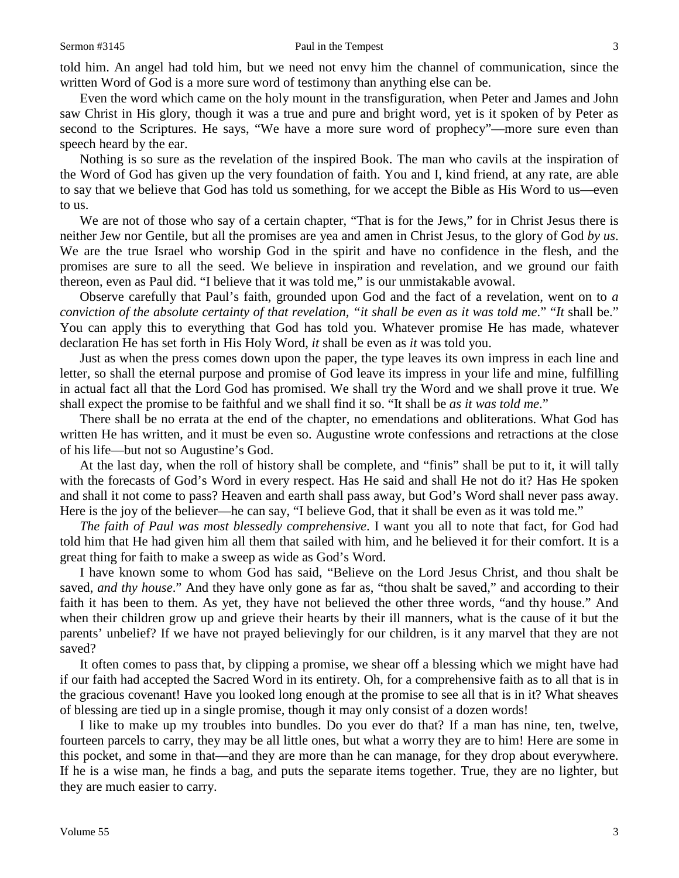Even the word which came on the holy mount in the transfiguration, when Peter and James and John saw Christ in His glory, though it was a true and pure and bright word, yet is it spoken of by Peter as second to the Scriptures. He says, "We have a more sure word of prophecy"—more sure even than speech heard by the ear.

Nothing is so sure as the revelation of the inspired Book. The man who cavils at the inspiration of the Word of God has given up the very foundation of faith. You and I, kind friend, at any rate, are able to say that we believe that God has told us something, for we accept the Bible as His Word to us—even to us.

We are not of those who say of a certain chapter, "That is for the Jews," for in Christ Jesus there is neither Jew nor Gentile, but all the promises are yea and amen in Christ Jesus, to the glory of God *by us*. We are the true Israel who worship God in the spirit and have no confidence in the flesh, and the promises are sure to all the seed. We believe in inspiration and revelation, and we ground our faith thereon, even as Paul did. "I believe that it was told me," is our unmistakable avowal.

Observe carefully that Paul's faith, grounded upon God and the fact of a revelation, went on to *a conviction of the absolute certainty of that revelation, "it shall be even as it was told me*." "*It* shall be." You can apply this to everything that God has told you. Whatever promise He has made, whatever declaration He has set forth in His Holy Word, *it* shall be even as *it* was told you.

Just as when the press comes down upon the paper, the type leaves its own impress in each line and letter, so shall the eternal purpose and promise of God leave its impress in your life and mine, fulfilling in actual fact all that the Lord God has promised. We shall try the Word and we shall prove it true. We shall expect the promise to be faithful and we shall find it so. "It shall be *as it was told me*."

There shall be no errata at the end of the chapter, no emendations and obliterations. What God has written He has written, and it must be even so. Augustine wrote confessions and retractions at the close of his life—but not so Augustine's God.

At the last day, when the roll of history shall be complete, and "finis" shall be put to it, it will tally with the forecasts of God's Word in every respect. Has He said and shall He not do it? Has He spoken and shall it not come to pass? Heaven and earth shall pass away, but God's Word shall never pass away. Here is the joy of the believer—he can say, "I believe God, that it shall be even as it was told me."

*The faith of Paul was most blessedly comprehensive*. I want you all to note that fact, for God had told him that He had given him all them that sailed with him, and he believed it for their comfort. It is a great thing for faith to make a sweep as wide as God's Word.

I have known some to whom God has said, "Believe on the Lord Jesus Christ, and thou shalt be saved, *and thy house*." And they have only gone as far as, "thou shalt be saved," and according to their faith it has been to them. As yet, they have not believed the other three words, "and thy house." And when their children grow up and grieve their hearts by their ill manners, what is the cause of it but the parents' unbelief? If we have not prayed believingly for our children, is it any marvel that they are not saved?

It often comes to pass that, by clipping a promise, we shear off a blessing which we might have had if our faith had accepted the Sacred Word in its entirety. Oh, for a comprehensive faith as to all that is in the gracious covenant! Have you looked long enough at the promise to see all that is in it? What sheaves of blessing are tied up in a single promise, though it may only consist of a dozen words!

I like to make up my troubles into bundles. Do you ever do that? If a man has nine, ten, twelve, fourteen parcels to carry, they may be all little ones, but what a worry they are to him! Here are some in this pocket, and some in that—and they are more than he can manage, for they drop about everywhere. If he is a wise man, he finds a bag, and puts the separate items together. True, they are no lighter, but they are much easier to carry.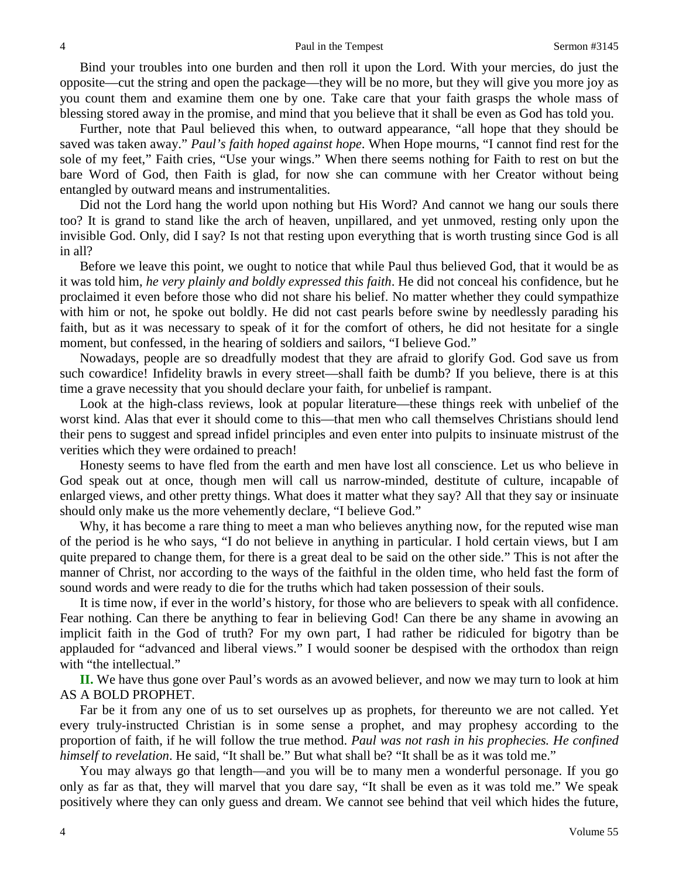Bind your troubles into one burden and then roll it upon the Lord. With your mercies, do just the opposite—cut the string and open the package—they will be no more, but they will give you more joy as you count them and examine them one by one. Take care that your faith grasps the whole mass of blessing stored away in the promise, and mind that you believe that it shall be even as God has told you.

Further, note that Paul believed this when, to outward appearance, "all hope that they should be saved was taken away." *Paul's faith hoped against hope*. When Hope mourns, "I cannot find rest for the sole of my feet," Faith cries, "Use your wings." When there seems nothing for Faith to rest on but the bare Word of God, then Faith is glad, for now she can commune with her Creator without being entangled by outward means and instrumentalities.

Did not the Lord hang the world upon nothing but His Word? And cannot we hang our souls there too? It is grand to stand like the arch of heaven, unpillared, and yet unmoved, resting only upon the invisible God. Only, did I say? Is not that resting upon everything that is worth trusting since God is all in all?

Before we leave this point, we ought to notice that while Paul thus believed God, that it would be as it was told him, *he very plainly and boldly expressed this faith*. He did not conceal his confidence, but he proclaimed it even before those who did not share his belief. No matter whether they could sympathize with him or not, he spoke out boldly. He did not cast pearls before swine by needlessly parading his faith, but as it was necessary to speak of it for the comfort of others, he did not hesitate for a single moment, but confessed, in the hearing of soldiers and sailors, "I believe God."

Nowadays, people are so dreadfully modest that they are afraid to glorify God. God save us from such cowardice! Infidelity brawls in every street—shall faith be dumb? If you believe, there is at this time a grave necessity that you should declare your faith, for unbelief is rampant.

Look at the high-class reviews, look at popular literature—these things reek with unbelief of the worst kind. Alas that ever it should come to this—that men who call themselves Christians should lend their pens to suggest and spread infidel principles and even enter into pulpits to insinuate mistrust of the verities which they were ordained to preach!

Honesty seems to have fled from the earth and men have lost all conscience. Let us who believe in God speak out at once, though men will call us narrow-minded, destitute of culture, incapable of enlarged views, and other pretty things. What does it matter what they say? All that they say or insinuate should only make us the more vehemently declare, "I believe God."

Why, it has become a rare thing to meet a man who believes anything now, for the reputed wise man of the period is he who says, "I do not believe in anything in particular. I hold certain views, but I am quite prepared to change them, for there is a great deal to be said on the other side." This is not after the manner of Christ, nor according to the ways of the faithful in the olden time, who held fast the form of sound words and were ready to die for the truths which had taken possession of their souls.

It is time now, if ever in the world's history, for those who are believers to speak with all confidence. Fear nothing. Can there be anything to fear in believing God! Can there be any shame in avowing an implicit faith in the God of truth? For my own part, I had rather be ridiculed for bigotry than be applauded for "advanced and liberal views." I would sooner be despised with the orthodox than reign with "the intellectual."

**II.** We have thus gone over Paul's words as an avowed believer, and now we may turn to look at him AS A BOLD PROPHET.

Far be it from any one of us to set ourselves up as prophets, for thereunto we are not called. Yet every truly-instructed Christian is in some sense a prophet, and may prophesy according to the proportion of faith, if he will follow the true method. *Paul was not rash in his prophecies. He confined himself to revelation*. He said, "It shall be." But what shall be? "It shall be as it was told me."

You may always go that length—and you will be to many men a wonderful personage. If you go only as far as that, they will marvel that you dare say, "It shall be even as it was told me." We speak positively where they can only guess and dream. We cannot see behind that veil which hides the future,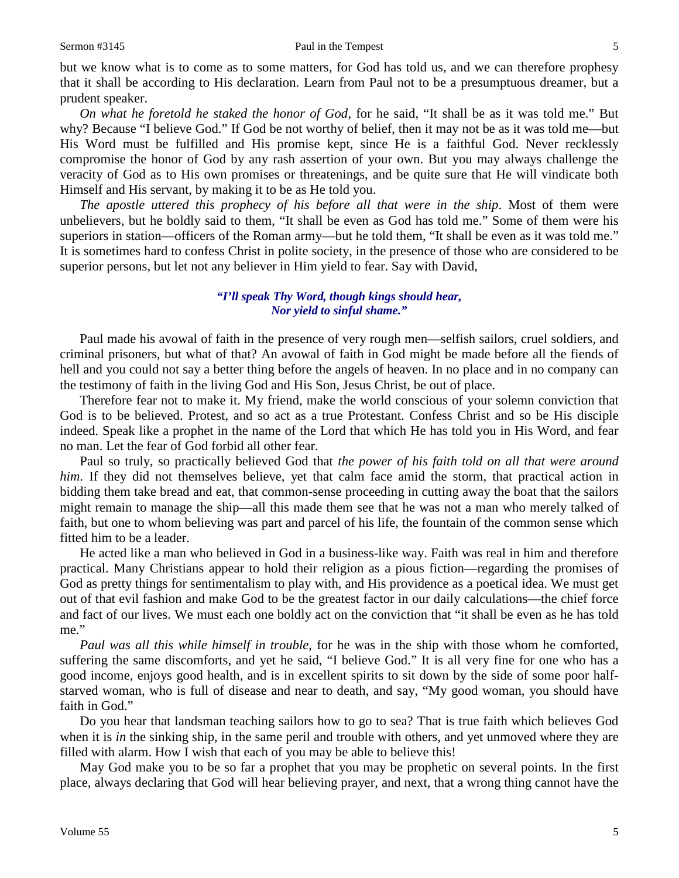but we know what is to come as to some matters, for God has told us, and we can therefore prophesy that it shall be according to His declaration. Learn from Paul not to be a presumptuous dreamer, but a prudent speaker.

*On what he foretold he staked the honor of God*, for he said, "It shall be as it was told me." But why? Because "I believe God." If God be not worthy of belief, then it may not be as it was told me—but His Word must be fulfilled and His promise kept, since He is a faithful God. Never recklessly compromise the honor of God by any rash assertion of your own. But you may always challenge the veracity of God as to His own promises or threatenings, and be quite sure that He will vindicate both Himself and His servant, by making it to be as He told you.

*The apostle uttered this prophecy of his before all that were in the ship*. Most of them were unbelievers, but he boldly said to them, "It shall be even as God has told me." Some of them were his superiors in station—officers of the Roman army—but he told them, "It shall be even as it was told me." It is sometimes hard to confess Christ in polite society, in the presence of those who are considered to be superior persons, but let not any believer in Him yield to fear. Say with David,

## *"I'll speak Thy Word, though kings should hear, Nor yield to sinful shame."*

Paul made his avowal of faith in the presence of very rough men—selfish sailors, cruel soldiers, and criminal prisoners, but what of that? An avowal of faith in God might be made before all the fiends of hell and you could not say a better thing before the angels of heaven. In no place and in no company can the testimony of faith in the living God and His Son, Jesus Christ, be out of place.

Therefore fear not to make it. My friend, make the world conscious of your solemn conviction that God is to be believed. Protest, and so act as a true Protestant. Confess Christ and so be His disciple indeed. Speak like a prophet in the name of the Lord that which He has told you in His Word, and fear no man. Let the fear of God forbid all other fear.

Paul so truly, so practically believed God that *the power of his faith told on all that were around him*. If they did not themselves believe, yet that calm face amid the storm, that practical action in bidding them take bread and eat, that common-sense proceeding in cutting away the boat that the sailors might remain to manage the ship—all this made them see that he was not a man who merely talked of faith, but one to whom believing was part and parcel of his life, the fountain of the common sense which fitted him to be a leader.

He acted like a man who believed in God in a business-like way. Faith was real in him and therefore practical. Many Christians appear to hold their religion as a pious fiction—regarding the promises of God as pretty things for sentimentalism to play with, and His providence as a poetical idea. We must get out of that evil fashion and make God to be the greatest factor in our daily calculations—the chief force and fact of our lives. We must each one boldly act on the conviction that "it shall be even as he has told me."

*Paul was all this while himself in trouble*, for he was in the ship with those whom he comforted, suffering the same discomforts, and yet he said, "I believe God." It is all very fine for one who has a good income, enjoys good health, and is in excellent spirits to sit down by the side of some poor halfstarved woman, who is full of disease and near to death, and say, "My good woman, you should have faith in God."

Do you hear that landsman teaching sailors how to go to sea? That is true faith which believes God when it is *in* the sinking ship, in the same peril and trouble with others, and yet unmoved where they are filled with alarm. How I wish that each of you may be able to believe this!

May God make you to be so far a prophet that you may be prophetic on several points. In the first place, always declaring that God will hear believing prayer, and next, that a wrong thing cannot have the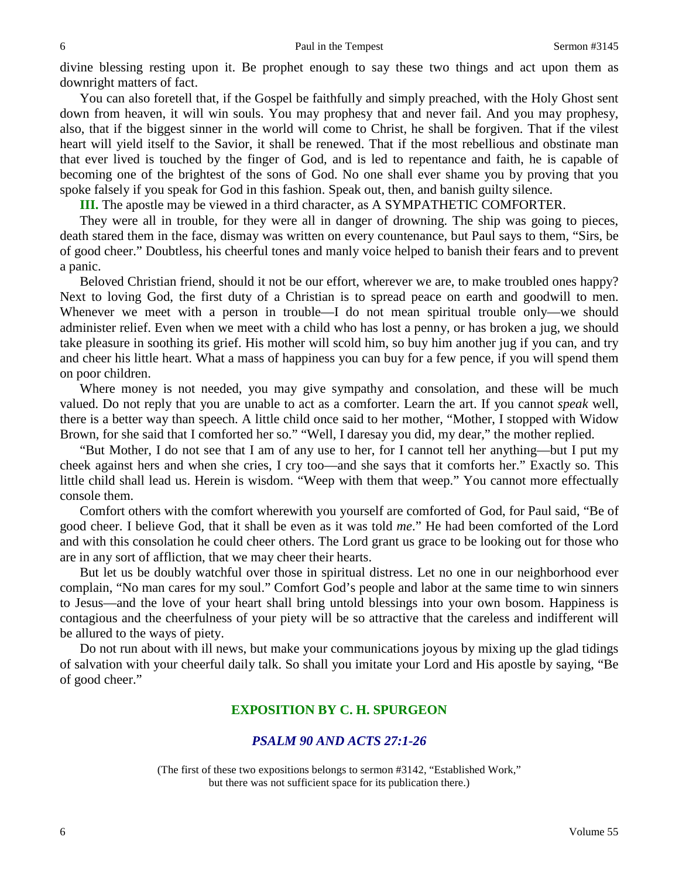divine blessing resting upon it. Be prophet enough to say these two things and act upon them as downright matters of fact.

You can also foretell that, if the Gospel be faithfully and simply preached, with the Holy Ghost sent down from heaven, it will win souls. You may prophesy that and never fail. And you may prophesy, also, that if the biggest sinner in the world will come to Christ, he shall be forgiven. That if the vilest heart will yield itself to the Savior, it shall be renewed. That if the most rebellious and obstinate man that ever lived is touched by the finger of God, and is led to repentance and faith, he is capable of becoming one of the brightest of the sons of God. No one shall ever shame you by proving that you spoke falsely if you speak for God in this fashion. Speak out, then, and banish guilty silence.

**III.** The apostle may be viewed in a third character, as A SYMPATHETIC COMFORTER.

They were all in trouble, for they were all in danger of drowning. The ship was going to pieces, death stared them in the face, dismay was written on every countenance, but Paul says to them, "Sirs, be of good cheer." Doubtless, his cheerful tones and manly voice helped to banish their fears and to prevent a panic.

Beloved Christian friend, should it not be our effort, wherever we are, to make troubled ones happy? Next to loving God, the first duty of a Christian is to spread peace on earth and goodwill to men. Whenever we meet with a person in trouble—I do not mean spiritual trouble only—we should administer relief. Even when we meet with a child who has lost a penny, or has broken a jug, we should take pleasure in soothing its grief. His mother will scold him, so buy him another jug if you can, and try and cheer his little heart. What a mass of happiness you can buy for a few pence, if you will spend them on poor children.

Where money is not needed, you may give sympathy and consolation, and these will be much valued. Do not reply that you are unable to act as a comforter. Learn the art. If you cannot *speak* well, there is a better way than speech. A little child once said to her mother, "Mother, I stopped with Widow Brown, for she said that I comforted her so." "Well, I daresay you did, my dear," the mother replied.

"But Mother, I do not see that I am of any use to her, for I cannot tell her anything—but I put my cheek against hers and when she cries, I cry too—and she says that it comforts her." Exactly so. This little child shall lead us. Herein is wisdom. "Weep with them that weep." You cannot more effectually console them.

Comfort others with the comfort wherewith you yourself are comforted of God, for Paul said, "Be of good cheer. I believe God, that it shall be even as it was told *me*." He had been comforted of the Lord and with this consolation he could cheer others. The Lord grant us grace to be looking out for those who are in any sort of affliction, that we may cheer their hearts.

But let us be doubly watchful over those in spiritual distress. Let no one in our neighborhood ever complain, "No man cares for my soul." Comfort God's people and labor at the same time to win sinners to Jesus—and the love of your heart shall bring untold blessings into your own bosom. Happiness is contagious and the cheerfulness of your piety will be so attractive that the careless and indifferent will be allured to the ways of piety.

Do not run about with ill news, but make your communications joyous by mixing up the glad tidings of salvation with your cheerful daily talk. So shall you imitate your Lord and His apostle by saying, "Be of good cheer."

# **EXPOSITION BY C. H. SPURGEON**

## *PSALM 90 AND ACTS 27:1-26*

(The first of these two expositions belongs to sermon #3142, "Established Work," but there was not sufficient space for its publication there.)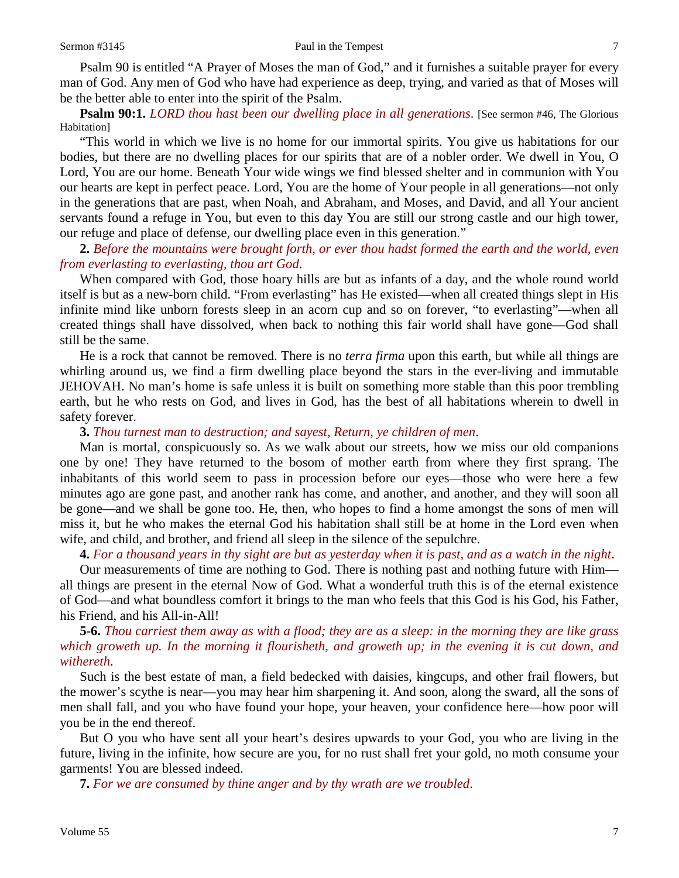Psalm 90 is entitled "A Prayer of Moses the man of God," and it furnishes a suitable prayer for every man of God. Any men of God who have had experience as deep, trying, and varied as that of Moses will be the better able to enter into the spirit of the Psalm.

**Psalm 90:1.** *LORD thou hast been our dwelling place in all generations*. [See sermon #46, The Glorious Habitation]

"This world in which we live is no home for our immortal spirits. You give us habitations for our bodies, but there are no dwelling places for our spirits that are of a nobler order. We dwell in You, O Lord, You are our home. Beneath Your wide wings we find blessed shelter and in communion with You our hearts are kept in perfect peace. Lord, You are the home of Your people in all generations—not only in the generations that are past, when Noah, and Abraham, and Moses, and David, and all Your ancient servants found a refuge in You, but even to this day You are still our strong castle and our high tower, our refuge and place of defense, our dwelling place even in this generation."

## **2.** *Before the mountains were brought forth, or ever thou hadst formed the earth and the world, even from everlasting to everlasting, thou art God*.

When compared with God, those hoary hills are but as infants of a day, and the whole round world itself is but as a new-born child. "From everlasting" has He existed—when all created things slept in His infinite mind like unborn forests sleep in an acorn cup and so on forever, "to everlasting"—when all created things shall have dissolved, when back to nothing this fair world shall have gone—God shall still be the same.

He is a rock that cannot be removed. There is no *terra firma* upon this earth, but while all things are whirling around us, we find a firm dwelling place beyond the stars in the ever-living and immutable JEHOVAH. No man's home is safe unless it is built on something more stable than this poor trembling earth, but he who rests on God, and lives in God, has the best of all habitations wherein to dwell in safety forever.

## **3.** *Thou turnest man to destruction; and sayest, Return, ye children of men*.

Man is mortal, conspicuously so. As we walk about our streets, how we miss our old companions one by one! They have returned to the bosom of mother earth from where they first sprang. The inhabitants of this world seem to pass in procession before our eyes—those who were here a few minutes ago are gone past, and another rank has come, and another, and another, and they will soon all be gone—and we shall be gone too. He, then, who hopes to find a home amongst the sons of men will miss it, but he who makes the eternal God his habitation shall still be at home in the Lord even when wife, and child, and brother, and friend all sleep in the silence of the sepulchre.

## **4.** *For a thousand years in thy sight are but as yesterday when it is past, and as a watch in the night*.

Our measurements of time are nothing to God. There is nothing past and nothing future with Him all things are present in the eternal Now of God. What a wonderful truth this is of the eternal existence of God—and what boundless comfort it brings to the man who feels that this God is his God, his Father, his Friend, and his All-in-All!

# **5-6.** *Thou carriest them away as with a flood; they are as a sleep: in the morning they are like grass which groweth up. In the morning it flourisheth, and groweth up; in the evening it is cut down, and withereth*.

Such is the best estate of man, a field bedecked with daisies, kingcups, and other frail flowers, but the mower's scythe is near—you may hear him sharpening it. And soon, along the sward, all the sons of men shall fall, and you who have found your hope, your heaven, your confidence here—how poor will you be in the end thereof.

But O you who have sent all your heart's desires upwards to your God, you who are living in the future, living in the infinite, how secure are you, for no rust shall fret your gold, no moth consume your garments! You are blessed indeed.

**7.** *For we are consumed by thine anger and by thy wrath are we troubled*.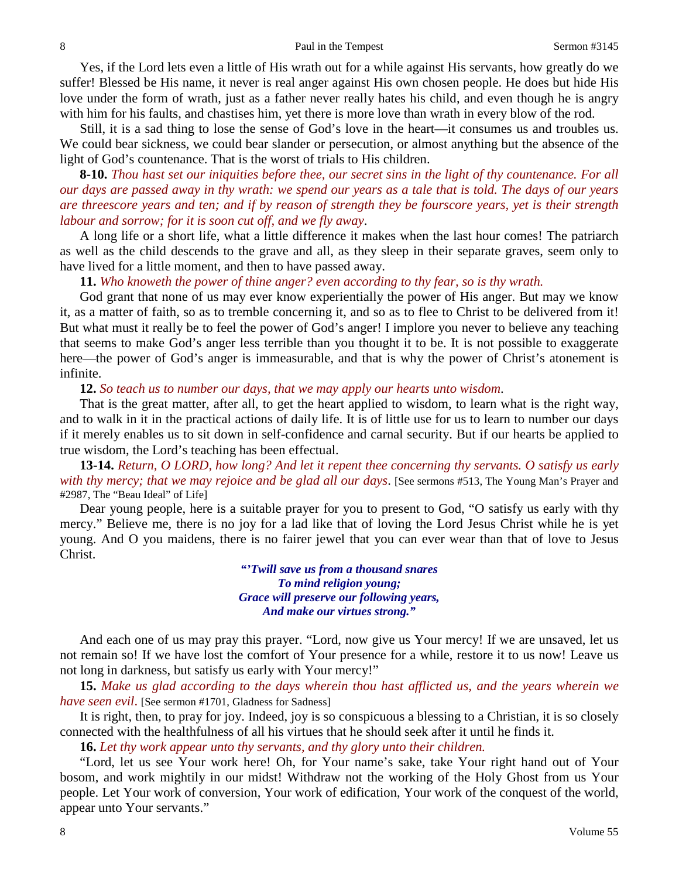Yes, if the Lord lets even a little of His wrath out for a while against His servants, how greatly do we suffer! Blessed be His name, it never is real anger against His own chosen people. He does but hide His love under the form of wrath, just as a father never really hates his child, and even though he is angry with him for his faults, and chastises him, yet there is more love than wrath in every blow of the rod.

Still, it is a sad thing to lose the sense of God's love in the heart—it consumes us and troubles us. We could bear sickness, we could bear slander or persecution, or almost anything but the absence of the light of God's countenance. That is the worst of trials to His children.

**8-10.** *Thou hast set our iniquities before thee, our secret sins in the light of thy countenance. For all our days are passed away in thy wrath: we spend our years as a tale that is told. The days of our years are threescore years and ten; and if by reason of strength they be fourscore years, yet is their strength labour and sorrow; for it is soon cut off, and we fly away*.

A long life or a short life, what a little difference it makes when the last hour comes! The patriarch as well as the child descends to the grave and all, as they sleep in their separate graves, seem only to have lived for a little moment, and then to have passed away.

**11.** *Who knoweth the power of thine anger? even according to thy fear, so is thy wrath.* 

God grant that none of us may ever know experientially the power of His anger. But may we know it, as a matter of faith, so as to tremble concerning it, and so as to flee to Christ to be delivered from it! But what must it really be to feel the power of God's anger! I implore you never to believe any teaching that seems to make God's anger less terrible than you thought it to be. It is not possible to exaggerate here—the power of God's anger is immeasurable, and that is why the power of Christ's atonement is infinite.

#### **12.** *So teach us to number our days, that we may apply our hearts unto wisdom*.

That is the great matter, after all, to get the heart applied to wisdom, to learn what is the right way, and to walk in it in the practical actions of daily life. It is of little use for us to learn to number our days if it merely enables us to sit down in self-confidence and carnal security. But if our hearts be applied to true wisdom, the Lord's teaching has been effectual.

**13-14.** *Return, O LORD, how long? And let it repent thee concerning thy servants. O satisfy us early with thy mercy; that we may rejoice and be glad all our days*. [See sermons #513, The Young Man's Prayer and #2987, The "Beau Ideal" of Life]

Dear young people, here is a suitable prayer for you to present to God, "O satisfy us early with thy mercy." Believe me, there is no joy for a lad like that of loving the Lord Jesus Christ while he is yet young. And O you maidens, there is no fairer jewel that you can ever wear than that of love to Jesus Christ.

> *"'Twill save us from a thousand snares To mind religion young; Grace will preserve our following years, And make our virtues strong."*

And each one of us may pray this prayer. "Lord, now give us Your mercy! If we are unsaved, let us not remain so! If we have lost the comfort of Your presence for a while, restore it to us now! Leave us not long in darkness, but satisfy us early with Your mercy!"

**15.** *Make us glad according to the days wherein thou hast afflicted us, and the years wherein we have seen evil.* [See sermon #1701, Gladness for Sadness]

It is right, then, to pray for joy. Indeed, joy is so conspicuous a blessing to a Christian, it is so closely connected with the healthfulness of all his virtues that he should seek after it until he finds it.

**16.** *Let thy work appear unto thy servants, and thy glory unto their children.* 

"Lord, let us see Your work here! Oh, for Your name's sake, take Your right hand out of Your bosom, and work mightily in our midst! Withdraw not the working of the Holy Ghost from us Your people. Let Your work of conversion, Your work of edification, Your work of the conquest of the world, appear unto Your servants."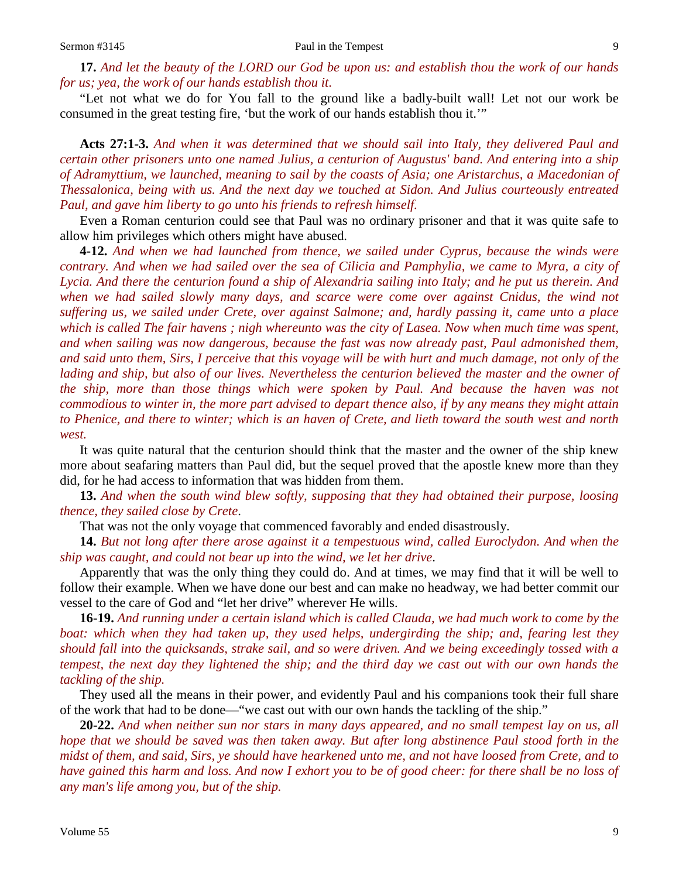**17.** *And let the beauty of the LORD our God be upon us: and establish thou the work of our hands for us; yea, the work of our hands establish thou it*.

"Let not what we do for You fall to the ground like a badly-built wall! Let not our work be consumed in the great testing fire, 'but the work of our hands establish thou it.'"

**Acts 27:1-3.** *And when it was determined that we should sail into Italy, they delivered Paul and certain other prisoners unto one named Julius, a centurion of Augustus' band. And entering into a ship of Adramyttium, we launched, meaning to sail by the coasts of Asia; one Aristarchus, a Macedonian of Thessalonica, being with us. And the next day we touched at Sidon. And Julius courteously entreated Paul, and gave him liberty to go unto his friends to refresh himself.*

Even a Roman centurion could see that Paul was no ordinary prisoner and that it was quite safe to allow him privileges which others might have abused.

**4-12.** *And when we had launched from thence, we sailed under Cyprus, because the winds were contrary. And when we had sailed over the sea of Cilicia and Pamphylia, we came to Myra, a city of Lycia. And there the centurion found a ship of Alexandria sailing into Italy; and he put us therein. And when we had sailed slowly many days, and scarce were come over against Cnidus, the wind not suffering us, we sailed under Crete, over against Salmone; and, hardly passing it, came unto a place which is called The fair havens ; nigh whereunto was the city of Lasea. Now when much time was spent, and when sailing was now dangerous, because the fast was now already past, Paul admonished them, and said unto them, Sirs, I perceive that this voyage will be with hurt and much damage, not only of the lading and ship, but also of our lives. Nevertheless the centurion believed the master and the owner of the ship, more than those things which were spoken by Paul. And because the haven was not commodious to winter in, the more part advised to depart thence also, if by any means they might attain to Phenice, and there to winter; which is an haven of Crete, and lieth toward the south west and north west.*

It was quite natural that the centurion should think that the master and the owner of the ship knew more about seafaring matters than Paul did, but the sequel proved that the apostle knew more than they did, for he had access to information that was hidden from them.

**13.** *And when the south wind blew softly, supposing that they had obtained their purpose, loosing thence, they sailed close by Crete*.

That was not the only voyage that commenced favorably and ended disastrously.

**14.** *But not long after there arose against it a tempestuous wind, called Euroclydon. And when the ship was caught, and could not bear up into the wind, we let her drive*.

Apparently that was the only thing they could do. And at times, we may find that it will be well to follow their example. When we have done our best and can make no headway, we had better commit our vessel to the care of God and "let her drive" wherever He wills.

**16-19.** *And running under a certain island which is called Clauda, we had much work to come by the boat: which when they had taken up, they used helps, undergirding the ship; and, fearing lest they should fall into the quicksands, strake sail, and so were driven. And we being exceedingly tossed with a tempest, the next day they lightened the ship; and the third day we cast out with our own hands the tackling of the ship.*

They used all the means in their power, and evidently Paul and his companions took their full share of the work that had to be done—"we cast out with our own hands the tackling of the ship."

**20-22.** *And when neither sun nor stars in many days appeared, and no small tempest lay on us, all hope that we should be saved was then taken away. But after long abstinence Paul stood forth in the midst of them, and said, Sirs, ye should have hearkened unto me, and not have loosed from Crete, and to have gained this harm and loss. And now I exhort you to be of good cheer: for there shall be no loss of any man's life among you, but of the ship.*